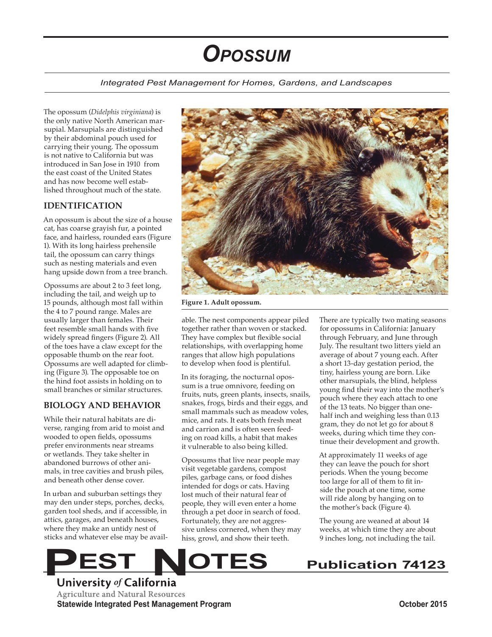# *Opossum*

#### *Integrated Pest Management for Homes, Gardens, and Landscapes*

The opossum (*Didelphis virginiana*) is the only native North American marsupial. Marsupials are distinguished by their abdominal pouch used for carrying their young. The opossum is not native to California but was introduced in San Jose in 1910 from the east coast of the United States and has now become well established throughout much of the state.

#### **IDENTIFICATION**

An opossum is about the size of a house cat, has coarse grayish fur, a pointed face, and hairless, rounded ears (Figure 1). With its long hairless prehensile tail, the opossum can carry things such as nesting materials and even hang upside down from a tree branch.

Opossums are about 2 to 3 feet long, including the tail, and weigh up to 15 pounds, although most fall within the 4 to 7 pound range. Males are usually larger than females. Their feet resemble small hands with five widely spread fingers (Figure 2). All of the toes have a claw except for the opposable thumb on the rear foot. Opossums are well adapted for climbing (Figure 3). The opposable toe on the hind foot assists in holding on to small branches or similar structures.

#### **BIOLOGY AND BEHAVIOR**

While their natural habitats are diverse, ranging from arid to moist and wooded to open fields, opossums prefer environments near streams or wetlands. They take shelter in abandoned burrows of other animals, in tree cavities and brush piles, and beneath other dense cover.

In urban and suburban settings they may den under steps, porches, decks, garden tool sheds, and if accessible, in attics, garages, and beneath houses, where they make an untidy nest of sticks and whatever else may be avail-



**Figure 1. Adult opossum.** 

able. The nest components appear piled together rather than woven or stacked. They have complex but flexible social relationships, with overlapping home ranges that allow high populations to develop when food is plentiful.

In its foraging, the nocturnal opossum is a true omnivore, feeding on fruits, nuts, green plants, insects, snails, snakes, frogs, birds and their eggs, and small mammals such as meadow voles, mice, and rats. It eats both fresh meat and carrion and is often seen feeding on road kills, a habit that makes it vulnerable to also being killed.

Opossums that live near people may visit vegetable gardens, compost piles, garbage cans, or food dishes intended for dogs or cats. Having lost much of their natural fear of people, they will even enter a home through a pet door in search of food. Fortunately, they are not aggressive unless cornered, when they may hiss, growl, and show their teeth.

There are typically two mating seasons for opossums in California: January through February, and June through July. The resultant two litters yield an average of about 7 young each. After a short 13-day gestation period, the tiny, hairless young are born. Like other marsupials, the blind, helpless young find their way into the mother's pouch where they each attach to one of the 13 teats. No bigger than onehalf inch and weighing less than 0.13 gram, they do not let go for about 8 weeks, during which time they continue their development and growth.

At approximately 11 weeks of age they can leave the pouch for short periods. When the young become too large for all of them to fit inside the pouch at one time, some will ride along by hanging on to the mother's back (Figure 4).

The young are weaned at about 14 weeks, at which time they are about 9 inches long, not including the tail.

FIREST University of California **Agriculture and Natural Resources Statewide Integrated Pest Management Program October 2015**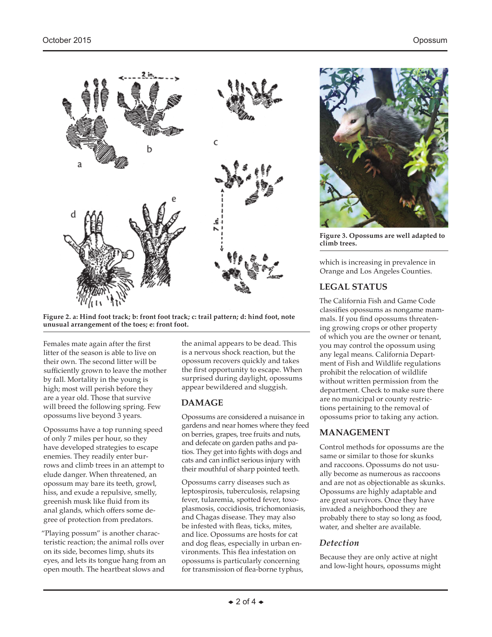

**Figure 2. a: Hind foot track; b: front foot track; c: trail pattern; d: hind foot, note unusual arrangement of the toes; e: front foot.**

Females mate again after the first litter of the season is able to live on their own. The second litter will be sufficiently grown to leave the mother by fall. Mortality in the young is high; most will perish before they are a year old. Those that survive will breed the following spring. Few opossums live beyond 3 years.

Opossums have a top running speed of only 7 miles per hour, so they have developed strategies to escape enemies. They readily enter burrows and climb trees in an attempt to elude danger. When threatened, an opossum may bare its teeth, growl, hiss, and exude a repulsive, smelly, greenish musk like fluid from its anal glands, which offers some degree of protection from predators.

"Playing possum" is another characteristic reaction; the animal rolls over on its side, becomes limp, shuts its eyes, and lets its tongue hang from an open mouth. The heartbeat slows and

the animal appears to be dead. This is a nervous shock reaction, but the opossum recovers quickly and takes the first opportunity to escape. When surprised during daylight, opossums appear bewildered and sluggish.

#### **DAMAGE**

Opossums are considered a nuisance in gardens and near homes where they feed on berries, grapes, tree fruits and nuts, and defecate on garden paths and patios. They get into fights with dogs and cats and can inflict serious injury with their mouthful of sharp pointed teeth.

Opossums carry diseases such as leptospirosis, tuberculosis, relapsing fever, tularemia, spotted fever, toxoplasmosis, coccidiosis, trichomoniasis, and Chagas disease. They may also be infested with fleas, ticks, mites, and lice. Opossums are hosts for cat and dog fleas, especially in urban environments. This flea infestation on opossums is particularly concerning for transmission of flea-borne typhus,



**Figure 3. Opossums are well adapted to climb trees.**

which is increasing in prevalence in Orange and Los Angeles Counties.

#### **LEGAL STATUS**

The California Fish and Game Code classifies opossums as nongame mammals. If you find opossums threatening growing crops or other property of which you are the owner or tenant, you may control the opossum using any legal means. California Department of Fish and Wildlife regulations prohibit the relocation of wildlife without written permission from the department. Check to make sure there are no municipal or county restrictions pertaining to the removal of opossums prior to taking any action.

#### **MANAGEMENT**

Control methods for opossums are the same or similar to those for skunks and raccoons. Opossums do not usually become as numerous as raccoons and are not as objectionable as skunks. Opossums are highly adaptable and are great survivors. Once they have invaded a neighborhood they are probably there to stay so long as food, water, and shelter are available.

#### *Detection*

Because they are only active at night and low-light hours, opossums might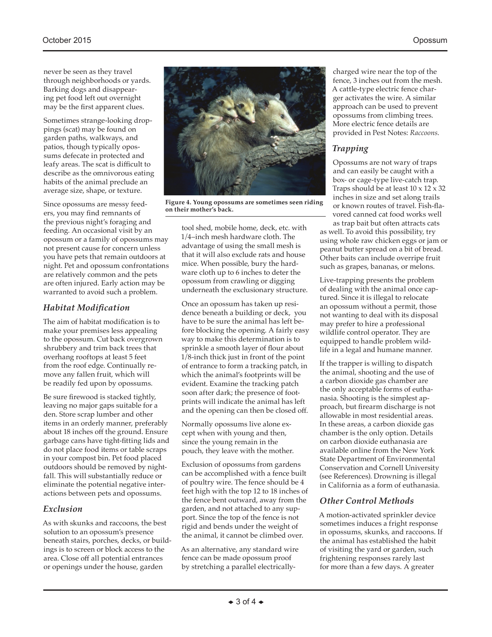never be seen as they travel through neighborhoods or yards. Barking dogs and disappearing pet food left out overnight may be the first apparent clues.

Sometimes strange-looking droppings (scat) may be found on garden paths, walkways, and patios, though typically opossums defecate in protected and leafy areas. The scat is difficult to describe as the omnivorous eating habits of the animal preclude an average size, shape, or texture.

Since opossums are messy feeders, you may find remnants of the previous night's foraging and feeding. An occasional visit by an opossum or a family of opossums may not present cause for concern unless you have pets that remain outdoors at night. Pet and opossum confrontations are relatively common and the pets are often injured. Early action may be warranted to avoid such a problem.

### *Habitat Modification*

The aim of habitat modification is to make your premises less appealing to the opossum. Cut back overgrown shrubbery and trim back trees that overhang rooftops at least 5 feet from the roof edge. Continually remove any fallen fruit, which will be readily fed upon by opossums.

Be sure firewood is stacked tightly, leaving no major gaps suitable for a den. Store scrap lumber and other items in an orderly manner, preferably about 18 inches off the ground. Ensure garbage cans have tight-fitting lids and do not place food items or table scraps in your compost bin. Pet food placed outdoors should be removed by nightfall. This will substantially reduce or eliminate the potential negative interactions between pets and opossums.

#### *Exclusion*

As with skunks and raccoons, the best solution to an opossum's presence beneath stairs, porches, decks, or buildings is to screen or block access to the area. Close off all potential entrances or openings under the house, garden



**Figure 4. Young opossums are sometimes seen riding on their mother's back.**

tool shed, mobile home, deck, etc. with 1/4–inch mesh hardware cloth. The advantage of using the small mesh is that it will also exclude rats and house mice. When possible, bury the hardware cloth up to 6 inches to deter the opossum from crawling or digging underneath the exclusionary structure.

Once an opossum has taken up residence beneath a building or deck, you have to be sure the animal has left before blocking the opening. A fairly easy way to make this determination is to sprinkle a smooth layer of flour about 1/8-inch thick just in front of the point of entrance to form a tracking patch, in which the animal's footprints will be evident. Examine the tracking patch soon after dark; the presence of footprints will indicate the animal has left and the opening can then be closed off.

Normally opossums live alone except when with young and then, since the young remain in the pouch, they leave with the mother.

Exclusion of opossums from gardens can be accomplished with a fence built of poultry wire. The fence should be 4 feet high with the top 12 to 18 inches of the fence bent outward, away from the garden, and not attached to any support. Since the top of the fence is not rigid and bends under the weight of the animal, it cannot be climbed over.

As an alternative, any standard wire fence can be made opossum proof by stretching a parallel electricallycharged wire near the top of the fence, 3 inches out from the mesh. A cattle-type electric fence charger activates the wire. A similar approach can be used to prevent opossums from climbing trees. More electric fence details are provided in Pest Notes: *Raccoons*.

## *Trapping*

Opossums are not wary of traps and can easily be caught with a box- or cage-type live-catch trap. Traps should be at least  $10 \times 12 \times 32$ inches in size and set along trails or known routes of travel. Fish-flavored canned cat food works well as trap bait but often attracts cats

as well. To avoid this possibility, try using whole raw chicken eggs or jam or peanut butter spread on a bit of bread. Other baits can include overripe fruit such as grapes, bananas, or melons.

Live-trapping presents the problem of dealing with the animal once captured. Since it is illegal to relocate an opossum without a permit, those not wanting to deal with its disposal may prefer to hire a professional wildlife control operator. They are equipped to handle problem wildlife in a legal and humane manner.

If the trapper is willing to dispatch the animal, shooting and the use of a carbon dioxide gas chamber are the only acceptable forms of euthanasia. Shooting is the simplest approach, but firearm discharge is not allowable in most residential areas. In these areas, a carbon dioxide gas chamber is the only option. Details on carbon dioxide euthanasia are available online from the New York State Department of Environmental Conservation and Cornell University (see References). Drowning is illegal in California as a form of euthanasia.

#### *Other Control Methods*

A motion-activated sprinkler device sometimes induces a fright response in opossums, skunks, and raccoons. If the animal has established the habit of visiting the yard or garden, such frightening responses rarely last for more than a few days. A greater